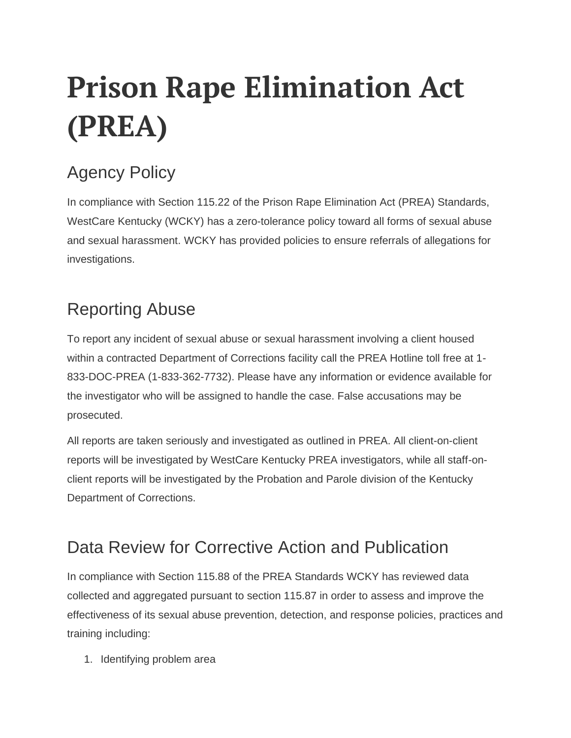# **Prison Rape Elimination Act (PREA)**

## Agency Policy

In compliance with Section 115.22 of the Prison Rape Elimination Act (PREA) Standards, WestCare Kentucky (WCKY) has a zero-tolerance policy toward all forms of sexual abuse and sexual harassment. WCKY has provided policies to ensure referrals of allegations for investigations.

### Reporting Abuse

To report any incident of sexual abuse or sexual harassment involving a client housed within a contracted Department of Corrections facility call the PREA Hotline toll free at 1- 833-DOC-PREA (1-833-362-7732). Please have any information or evidence available for the investigator who will be assigned to handle the case. False accusations may be prosecuted.

All reports are taken seriously and investigated as outlined in PREA. All client-on-client reports will be investigated by WestCare Kentucky PREA investigators, while all staff-onclient reports will be investigated by the Probation and Parole division of the Kentucky Department of Corrections.

#### Data Review for Corrective Action and Publication

In compliance with Section 115.88 of the PREA Standards WCKY has reviewed data collected and aggregated pursuant to section 115.87 in order to assess and improve the effectiveness of its sexual abuse prevention, detection, and response policies, practices and training including:

1. Identifying problem area